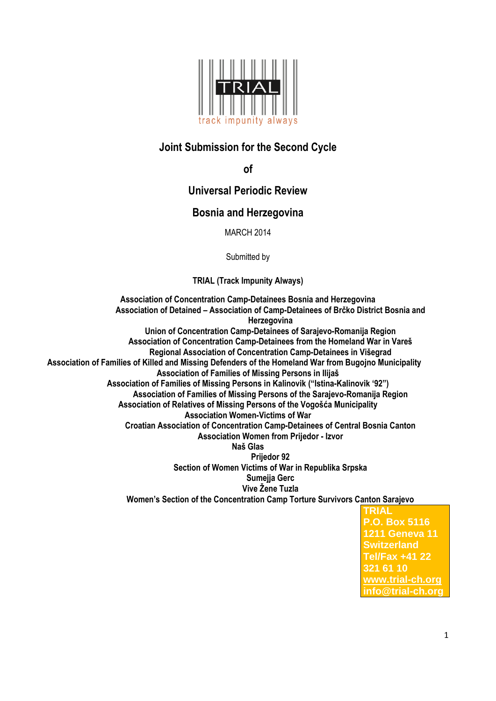

# **Joint Submission for the Second Cycle**

**of** 

## **Universal Periodic Review**

### **Bosnia and Herzegovina**

MARCH 2014

Submitted by

**TRIAL (Track Impunity Always)**

**Association of Concentration Camp-Detainees Bosnia and Herzegovina Association of Detained – Association of Camp-Detainees of Brčko District Bosnia and Herzegovina Union of Concentration Camp-Detainees of Sarajevo-Romanija Region Association of Concentration Camp-Detainees from the Homeland War in Vareš Regional Association of Concentration Camp-Detainees in Višegrad Association of Families of Killed and Missing Defenders of the Homeland War from Bugojno Municipality Association of Families of Missing Persons in Ilijaš Association of Families of Missing Persons in Kalinovik ("Istina-Kalinovik '92") Association of Families of Missing Persons of the Sarajevo-Romanija Region Association of Relatives of Missing Persons of the Vogošća Municipality Association Women-Victims of War Croatian Association of Concentration Camp-Detainees of Central Bosnia Canton Association Women from Prijedor - Izvor Naš Glas Prijedor 92 Section of Women Victims of War in Republika Srpska Sumejja Gerc Vive Žene Tuzla Women's Section of the Concentration Camp Torture Survivors Canton Sarajevo TRIAL**

**P.O. Box 5116 1211 Geneva 11 Switzerland Tel/Fax +41 22 321 61 10 [www.trial-ch.org](http://www.trial-ch.org/) info@trial-ch.org**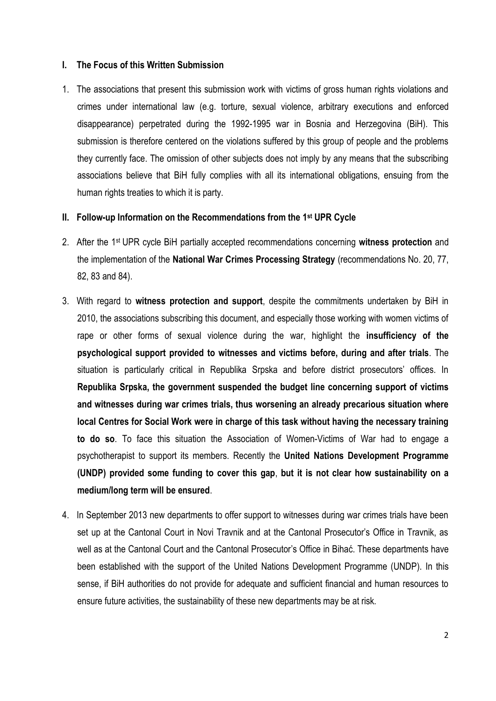### **I. The Focus of this Written Submission**

1. The associations that present this submission work with victims of gross human rights violations and crimes under international law (e.g. torture, sexual violence, arbitrary executions and enforced disappearance) perpetrated during the 1992-1995 war in Bosnia and Herzegovina (BiH). This submission is therefore centered on the violations suffered by this group of people and the problems they currently face. The omission of other subjects does not imply by any means that the subscribing associations believe that BiH fully complies with all its international obligations, ensuing from the human rights treaties to which it is party.

#### **II. Follow-up Information on the Recommendations from the 1st UPR Cycle**

- 2. After the 1st UPR cycle BiH partially accepted recommendations concerning **witness protection** and the implementation of the **National War Crimes Processing Strategy** (recommendations No. 20, 77, 82, 83 and 84).
- 3. With regard to **witness protection and support**, despite the commitments undertaken by BiH in 2010, the associations subscribing this document, and especially those working with women victims of rape or other forms of sexual violence during the war, highlight the **insufficiency of the psychological support provided to witnesses and victims before, during and after trials**. The situation is particularly critical in Republika Srpska and before district prosecutors' offices. In **Republika Srpska, the government suspended the budget line concerning support of victims and witnesses during war crimes trials, thus worsening an already precarious situation where local Centres for Social Work were in charge of this task without having the necessary training to do so**. To face this situation the Association of Women-Victims of War had to engage a psychotherapist to support its members. Recently the **United Nations Development Programme (UNDP) provided some funding to cover this gap**, **but it is not clear how sustainability on a medium/long term will be ensured**.
- 4. In September 2013 new departments to offer support to witnesses during war crimes trials have been set up at the Cantonal Court in Novi Travnik and at the Cantonal Prosecutor's Office in Travnik, as well as at the Cantonal Court and the Cantonal Prosecutor's Office in Bihać. These departments have been established with the support of the United Nations Development Programme (UNDP). In this sense, if BiH authorities do not provide for adequate and sufficient financial and human resources to ensure future activities, the sustainability of these new departments may be at risk.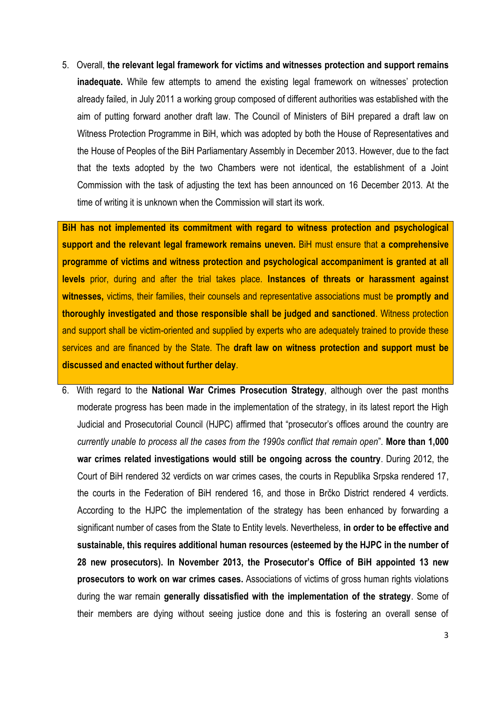5. Overall, **the relevant legal framework for victims and witnesses protection and support remains inadequate.** While few attempts to amend the existing legal framework on witnesses' protection already failed, in July 2011 a working group composed of different authorities was established with the aim of putting forward another draft law. The Council of Ministers of BiH prepared a draft law on Witness Protection Programme in BiH, which was adopted by both the House of Representatives and the House of Peoples of the BiH Parliamentary Assembly in December 2013. However, due to the fact that the texts adopted by the two Chambers were not identical, the establishment of a Joint Commission with the task of adjusting the text has been announced on 16 December 2013. At the time of writing it is unknown when the Commission will start its work.

**BiH has not implemented its commitment with regard to witness protection and psychological support and the relevant legal framework remains uneven.** BiH must ensure that **a comprehensive programme of victims and witness protection and psychological accompaniment is granted at all levels** prior, during and after the trial takes place. **Instances of threats or harassment against witnesses,** victims, their families, their counsels and representative associations must be **promptly and thoroughly investigated and those responsible shall be judged and sanctioned**. Witness protection and support shall be victim-oriented and supplied by experts who are adequately trained to provide these services and are financed by the State. The **draft law on witness protection and support must be discussed and enacted without further delay**.

6. With regard to the **National War Crimes Prosecution Strategy**, although over the past months moderate progress has been made in the implementation of the strategy, in its latest report the High Judicial and Prosecutorial Council (HJPC) affirmed that "prosecutor's offices around the country are *currently unable to process all the cases from the 1990s conflict that remain open*". **More than 1,000 war crimes related investigations would still be ongoing across the country**. During 2012, the Court of BiH rendered 32 verdicts on war crimes cases, the courts in Republika Srpska rendered 17, the courts in the Federation of BiH rendered 16, and those in Brčko District rendered 4 verdicts. According to the HJPC the implementation of the strategy has been enhanced by forwarding a significant number of cases from the State to Entity levels. Nevertheless, **in order to be effective and sustainable, this requires additional human resources (esteemed by the HJPC in the number of 28 new prosecutors). In November 2013, the Prosecutor's Office of BiH appointed 13 new prosecutors to work on war crimes cases.** Associations of victims of gross human rights violations during the war remain **generally dissatisfied with the implementation of the strategy**. Some of their members are dying without seeing justice done and this is fostering an overall sense of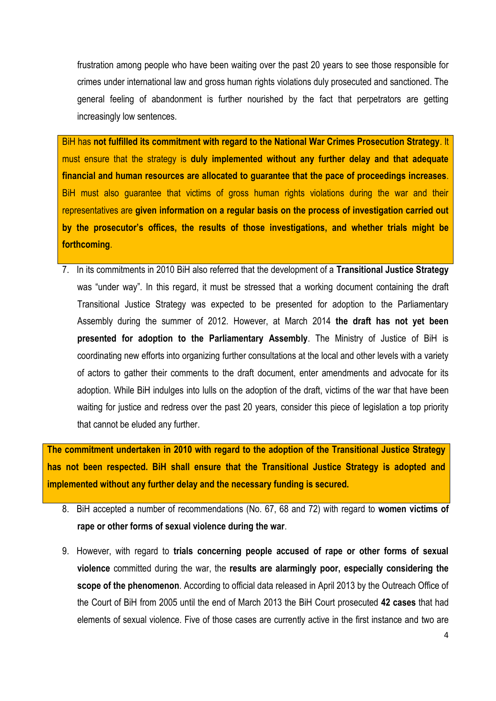frustration among people who have been waiting over the past 20 years to see those responsible for crimes under international law and gross human rights violations duly prosecuted and sanctioned. The general feeling of abandonment is further nourished by the fact that perpetrators are getting increasingly low sentences.

BiH has **not fulfilled its commitment with regard to the National War Crimes Prosecution Strategy**. It must ensure that the strategy is **duly implemented without any further delay and that adequate financial and human resources are allocated to guarantee that the pace of proceedings increases**. BiH must also guarantee that victims of gross human rights violations during the war and their representatives are **given information on a regular basis on the process of investigation carried out by the prosecutor's offices, the results of those investigations, and whether trials might be forthcoming**.

7. In its commitments in 2010 BiH also referred that the development of a **Transitional Justice Strategy** was "under way". In this regard, it must be stressed that a working document containing the draft Transitional Justice Strategy was expected to be presented for adoption to the Parliamentary Assembly during the summer of 2012. However, at March 2014 **the draft has not yet been presented for adoption to the Parliamentary Assembly**. The Ministry of Justice of BiH is coordinating new efforts into organizing further consultations at the local and other levels with a variety of actors to gather their comments to the draft document, enter amendments and advocate for its adoption. While BiH indulges into lulls on the adoption of the draft, victims of the war that have been waiting for justice and redress over the past 20 years, consider this piece of legislation a top priority that cannot be eluded any further.

**The commitment undertaken in 2010 with regard to the adoption of the Transitional Justice Strategy has not been respected. BiH shall ensure that the Transitional Justice Strategy is adopted and implemented without any further delay and the necessary funding is secured.**

- 8. BiH accepted a number of recommendations (No. 67, 68 and 72) with regard to **women victims of rape or other forms of sexual violence during the war**.
- 9. However, with regard to **trials concerning people accused of rape or other forms of sexual violence** committed during the war, the **results are alarmingly poor, especially considering the scope of the phenomenon**. According to official data released in April 2013 by the Outreach Office of the Court of BiH from 2005 until the end of March 2013 the BiH Court prosecuted **42 cases** that had elements of sexual violence. Five of those cases are currently active in the first instance and two are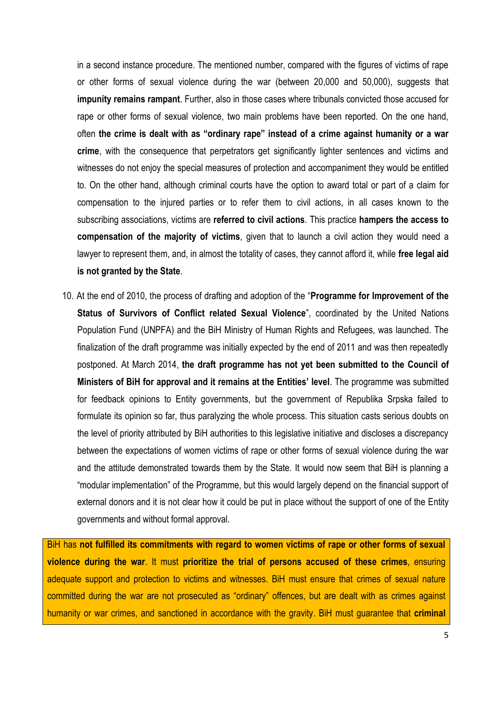in a second instance procedure. The mentioned number, compared with the figures of victims of rape or other forms of sexual violence during the war (between 20,000 and 50,000), suggests that **impunity remains rampant**. Further, also in those cases where tribunals convicted those accused for rape or other forms of sexual violence, two main problems have been reported. On the one hand, often **the crime is dealt with as "ordinary rape" instead of a crime against humanity or a war crime**, with the consequence that perpetrators get significantly lighter sentences and victims and witnesses do not enjoy the special measures of protection and accompaniment they would be entitled to. On the other hand, although criminal courts have the option to award total or part of a claim for compensation to the injured parties or to refer them to civil actions, in all cases known to the subscribing associations, victims are **referred to civil actions**. This practice **hampers the access to compensation of the majority of victims**, given that to launch a civil action they would need a lawyer to represent them, and, in almost the totality of cases, they cannot afford it, while **free legal aid is not granted by the State**.

10. At the end of 2010, the process of drafting and adoption of the "**Programme for Improvement of the Status of Survivors of Conflict related Sexual Violence**", coordinated by the United Nations Population Fund (UNPFA) and the BiH Ministry of Human Rights and Refugees, was launched. The finalization of the draft programme was initially expected by the end of 2011 and was then repeatedly postponed. At March 2014, **the draft programme has not yet been submitted to the Council of Ministers of BiH for approval and it remains at the Entities' level**. The programme was submitted for feedback opinions to Entity governments, but the government of Republika Srpska failed to formulate its opinion so far, thus paralyzing the whole process. This situation casts serious doubts on the level of priority attributed by BiH authorities to this legislative initiative and discloses a discrepancy between the expectations of women victims of rape or other forms of sexual violence during the war and the attitude demonstrated towards them by the State. It would now seem that BiH is planning a "modular implementation" of the Programme, but this would largely depend on the financial support of external donors and it is not clear how it could be put in place without the support of one of the Entity governments and without formal approval.

BiH has **not fulfilled its commitments with regard to women victims of rape or other forms of sexual violence during the war**. It must **prioritize the trial of persons accused of these crimes**, ensuring adequate support and protection to victims and witnesses. BiH must ensure that crimes of sexual nature committed during the war are not prosecuted as "ordinary" offences, but are dealt with as crimes against humanity or war crimes, and sanctioned in accordance with the gravity. BiH must guarantee that **criminal**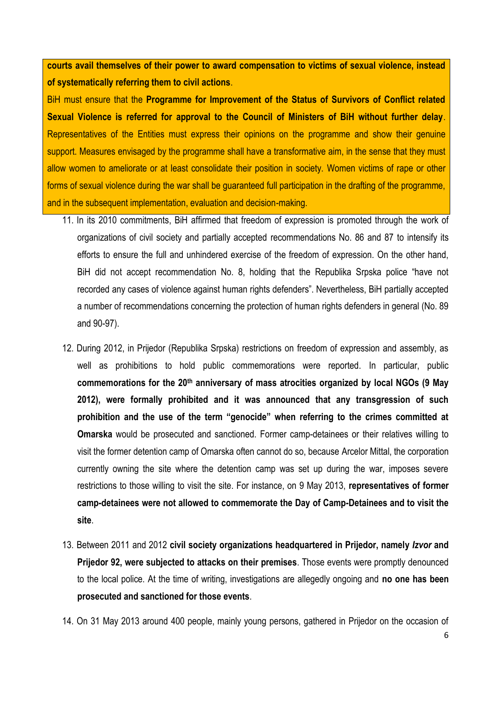**courts avail themselves of their power to award compensation to victims of sexual violence, instead of systematically referring them to civil actions**.

BiH must ensure that the **Programme for Improvement of the Status of Survivors of Conflict related Sexual Violence is referred for approval to the Council of Ministers of BiH without further delay**. Representatives of the Entities must express their opinions on the programme and show their genuine support. Measures envisaged by the programme shall have a transformative aim, in the sense that they must allow women to ameliorate or at least consolidate their position in society. Women victims of rape or other forms of sexual violence during the war shall be guaranteed full participation in the drafting of the programme, and in the subsequent implementation, evaluation and decision-making.

- 11. In its 2010 commitments, BiH affirmed that freedom of expression is promoted through the work of organizations of civil society and partially accepted recommendations No. 86 and 87 to intensify its efforts to ensure the full and unhindered exercise of the freedom of expression. On the other hand, BiH did not accept recommendation No. 8, holding that the Republika Srpska police "have not recorded any cases of violence against human rights defenders". Nevertheless, BiH partially accepted a number of recommendations concerning the protection of human rights defenders in general (No. 89 and 90-97).
- 12. During 2012, in Prijedor (Republika Srpska) restrictions on freedom of expression and assembly, as well as prohibitions to hold public commemorations were reported. In particular, public **commemorations for the 20th anniversary of mass atrocities organized by local NGOs (9 May 2012), were formally prohibited and it was announced that any transgression of such prohibition and the use of the term "genocide" when referring to the crimes committed at Omarska** would be prosecuted and sanctioned. Former camp-detainees or their relatives willing to visit the former detention camp of Omarska often cannot do so, because Arcelor Mittal, the corporation currently owning the site where the detention camp was set up during the war, imposes severe restrictions to those willing to visit the site. For instance, on 9 May 2013, **representatives of former camp-detainees were not allowed to commemorate the Day of Camp-Detainees and to visit the site**.
- 13. Between 2011 and 2012 **civil society organizations headquartered in Prijedor, namely** *Izvor* **and Prijedor 92, were subjected to attacks on their premises**. Those events were promptly denounced to the local police. At the time of writing, investigations are allegedly ongoing and **no one has been prosecuted and sanctioned for those events**.
- 14. On 31 May 2013 around 400 people, mainly young persons, gathered in Prijedor on the occasion of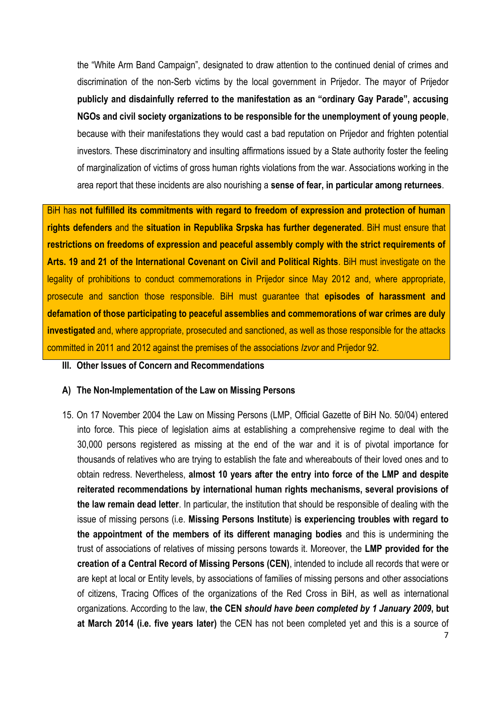the "White Arm Band Campaign", designated to draw attention to the continued denial of crimes and discrimination of the non-Serb victims by the local government in Prijedor. The mayor of Prijedor **publicly and disdainfully referred to the manifestation as an "ordinary Gay Parade", accusing NGOs and civil society organizations to be responsible for the unemployment of young people**, because with their manifestations they would cast a bad reputation on Prijedor and frighten potential investors. These discriminatory and insulting affirmations issued by a State authority foster the feeling of marginalization of victims of gross human rights violations from the war. Associations working in the area report that these incidents are also nourishing a **sense of fear, in particular among returnees**.

BiH has **not fulfilled its commitments with regard to freedom of expression and protection of human rights defenders** and the **situation in Republika Srpska has further degenerated**. BiH must ensure that **restrictions on freedoms of expression and peaceful assembly comply with the strict requirements of Arts. 19 and 21 of the International Covenant on Civil and Political Rights**. BiH must investigate on the legality of prohibitions to conduct commemorations in Prijedor since May 2012 and, where appropriate, prosecute and sanction those responsible. BiH must guarantee that **episodes of harassment and defamation of those participating to peaceful assemblies and commemorations of war crimes are duly investigated** and, where appropriate, prosecuted and sanctioned, as well as those responsible for the attacks committed in 2011 and 2012 against the premises of the associations *Izvor* and Prijedor 92.

#### **III. Other Issues of Concern and Recommendations**

#### **A) The Non-Implementation of the Law on Missing Persons**

15. On 17 November 2004 the Law on Missing Persons (LMP, Official Gazette of BiH No. 50/04) entered into force. This piece of legislation aims at establishing a comprehensive regime to deal with the 30,000 persons registered as missing at the end of the war and it is of pivotal importance for thousands of relatives who are trying to establish the fate and whereabouts of their loved ones and to obtain redress. Nevertheless, **almost 10 years after the entry into force of the LMP and despite reiterated recommendations by international human rights mechanisms, several provisions of the law remain dead letter**. In particular, the institution that should be responsible of dealing with the issue of missing persons (i.e. **Missing Persons Institute**) **is experiencing troubles with regard to the appointment of the members of its different managing bodies** and this is undermining the trust of associations of relatives of missing persons towards it. Moreover, the **LMP provided for the creation of a Central Record of Missing Persons (CEN)**, intended to include all records that were or are kept at local or Entity levels, by associations of families of missing persons and other associations of citizens, Tracing Offices of the organizations of the Red Cross in BiH, as well as international organizations. According to the law, **the CEN** *should have been completed by 1 January 2009***, but at March 2014 (i.e. five years later)** the CEN has not been completed yet and this is a source of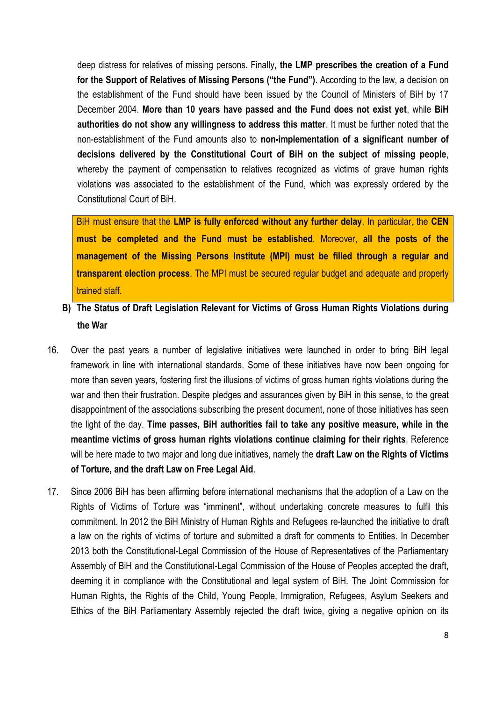deep distress for relatives of missing persons. Finally, **the LMP prescribes the creation of a Fund for the Support of Relatives of Missing Persons ("the Fund")**. According to the law, a decision on the establishment of the Fund should have been issued by the Council of Ministers of BiH by 17 December 2004. **More than 10 years have passed and the Fund does not exist yet**, while **BiH authorities do not show any willingness to address this matter**. It must be further noted that the non-establishment of the Fund amounts also to **non-implementation of a significant number of decisions delivered by the Constitutional Court of BiH on the subject of missing people**, whereby the payment of compensation to relatives recognized as victims of grave human rights violations was associated to the establishment of the Fund, which was expressly ordered by the Constitutional Court of BiH.

BiH must ensure that the **LMP is fully enforced without any further delay**. In particular, the **CEN must be completed and the Fund must be established**. Moreover, **all the posts of the management of the Missing Persons Institute (MPI) must be filled through a regular and transparent election process**. The MPI must be secured regular budget and adequate and properly trained staff.

- **B) The Status of Draft Legislation Relevant for Victims of Gross Human Rights Violations during the War**
- 16. Over the past years a number of legislative initiatives were launched in order to bring BiH legal framework in line with international standards. Some of these initiatives have now been ongoing for more than seven years, fostering first the illusions of victims of gross human rights violations during the war and then their frustration. Despite pledges and assurances given by BiH in this sense, to the great disappointment of the associations subscribing the present document, none of those initiatives has seen the light of the day. **Time passes, BiH authorities fail to take any positive measure, while in the meantime victims of gross human rights violations continue claiming for their rights**. Reference will be here made to two major and long due initiatives, namely the **draft Law on the Rights of Victims of Torture, and the draft Law on Free Legal Aid**.
- 17. Since 2006 BiH has been affirming before international mechanisms that the adoption of a Law on the Rights of Victims of Torture was "imminent", without undertaking concrete measures to fulfil this commitment. In 2012 the BiH Ministry of Human Rights and Refugees re-launched the initiative to draft a law on the rights of victims of torture and submitted a draft for comments to Entities. In December 2013 both the Constitutional-Legal Commission of the House of Representatives of the Parliamentary Assembly of BiH and the Constitutional-Legal Commission of the House of Peoples accepted the draft, deeming it in compliance with the Constitutional and legal system of BiH. The Joint Commission for Human Rights, the Rights of the Child, Young People, Immigration, Refugees, Asylum Seekers and Ethics of the BiH Parliamentary Assembly rejected the draft twice, giving a negative opinion on its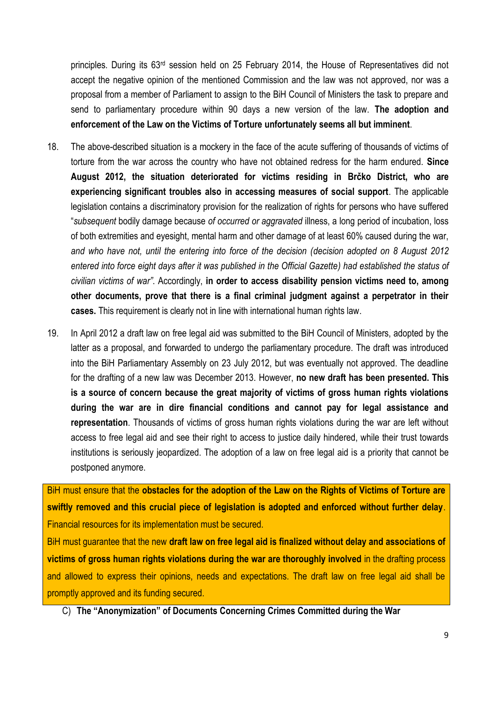principles. During its 63rd session held on 25 February 2014, the House of Representatives did not accept the negative opinion of the mentioned Commission and the law was not approved, nor was a proposal from a member of Parliament to assign to the BiH Council of Ministers the task to prepare and send to parliamentary procedure within 90 days a new version of the law. **The adoption and enforcement of the Law on the Victims of Torture unfortunately seems all but imminent**.

- 18. The above-described situation is a mockery in the face of the acute suffering of thousands of victims of torture from the war across the country who have not obtained redress for the harm endured. **Since August 2012, the situation deteriorated for victims residing in Brčko District, who are experiencing significant troubles also in accessing measures of social support**. The applicable legislation contains a discriminatory provision for the realization of rights for persons who have suffered "*subsequent* bodily damage because *of occurred or aggravated* illness, a long period of incubation, loss of both extremities and eyesight, mental harm and other damage of at least 60% caused during the war, *and who have not, until the entering into force of the decision (decision adopted on 8 August 2012 entered into force eight days after it was published in the Official Gazette) had established the status of civilian victims of war"*. Accordingly, **in order to access disability pension victims need to, among other documents, prove that there is a final criminal judgment against a perpetrator in their cases.** This requirement is clearly not in line with international human rights law.
- 19. In April 2012 a draft law on free legal aid was submitted to the BiH Council of Ministers, adopted by the latter as a proposal, and forwarded to undergo the parliamentary procedure. The draft was introduced into the BiH Parliamentary Assembly on 23 July 2012, but was eventually not approved. The deadline for the drafting of a new law was December 2013. However, **no new draft has been presented. This is a source of concern because the great majority of victims of gross human rights violations during the war are in dire financial conditions and cannot pay for legal assistance and representation**. Thousands of victims of gross human rights violations during the war are left without access to free legal aid and see their right to access to justice daily hindered, while their trust towards institutions is seriously jeopardized. The adoption of a law on free legal aid is a priority that cannot be postponed anymore.

BiH must ensure that the **obstacles for the adoption of the Law on the Rights of Victims of Torture are swiftly removed and this crucial piece of legislation is adopted and enforced without further delay**. Financial resources for its implementation must be secured.

BiH must guarantee that the new **draft law on free legal aid is finalized without delay and associations of victims of gross human rights violations during the war are thoroughly involved** in the drafting process and allowed to express their opinions, needs and expectations. The draft law on free legal aid shall be promptly approved and its funding secured.

C) **The "Anonymization" of Documents Concerning Crimes Committed during the War**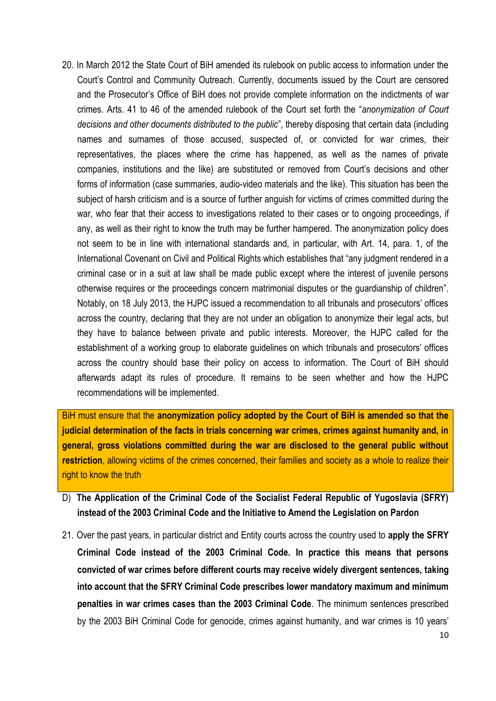20. In March 2012 the State Court of BiH amended its rulebook on public access to information under the Court's Control and Community Outreach. Currently, documents issued by the Court are censored and the Prosecutor's Office of BiH does not provide complete information on the indictments of war crimes. Arts. 41 to 46 of the amended rulebook of the Court set forth the "*anonymization of Court decisions and other documents distributed to the public*", thereby disposing that certain data (including names and surnames of those accused, suspected of, or convicted for war crimes, their representatives, the places where the crime has happened, as well as the names of private companies, institutions and the like) are substituted or removed from Court's decisions and other forms of information (case summaries, audio-video materials and the like). This situation has been the subject of harsh criticism and is a source of further anguish for victims of crimes committed during the war, who fear that their access to investigations related to their cases or to ongoing proceedings, if any, as well as their right to know the truth may be further hampered. The anonymization policy does not seem to be in line with international standards and, in particular, with Art. 14, para. 1, of the International Covenant on Civil and Political Rights which establishes that "any judgment rendered in a criminal case or in a suit at law shall be made public except where the interest of juvenile persons otherwise requires or the proceedings concern matrimonial disputes or the guardianship of children". Notably, on 18 July 2013, the HJPC issued a recommendation to all tribunals and prosecutors' offices across the country, declaring that they are not under an obligation to anonymize their legal acts, but they have to balance between private and public interests. Moreover, the HJPC called for the establishment of a working group to elaborate guidelines on which tribunals and prosecutors' offices across the country should base their policy on access to information. The Court of BiH should afterwards adapt its rules of procedure. It remains to be seen whether and how the HJPC recommendations will be implemented.

BiH must ensure that the **anonymization policy adopted by the Court of BiH is amended so that the judicial determination of the facts in trials concerning war crimes, crimes against humanity and, in general, gross violations committed during the war are disclosed to the general public without restriction**, allowing victims of the crimes concerned, their families and society as a whole to realize their right to know the truth

- D) **The Application of the Criminal Code of the Socialist Federal Republic of Yugoslavia (SFRY) instead of the 2003 Criminal Code and the Initiative to Amend the Legislation on Pardon**
- 21. Over the past years, in particular district and Entity courts across the country used to **apply the SFRY Criminal Code instead of the 2003 Criminal Code. In practice this means that persons convicted of war crimes before different courts may receive widely divergent sentences, taking into account that the SFRY Criminal Code prescribes lower mandatory maximum and minimum penalties in war crimes cases than the 2003 Criminal Code**. The minimum sentences prescribed by the 2003 BiH Criminal Code for genocide, crimes against humanity, and war crimes is 10 years'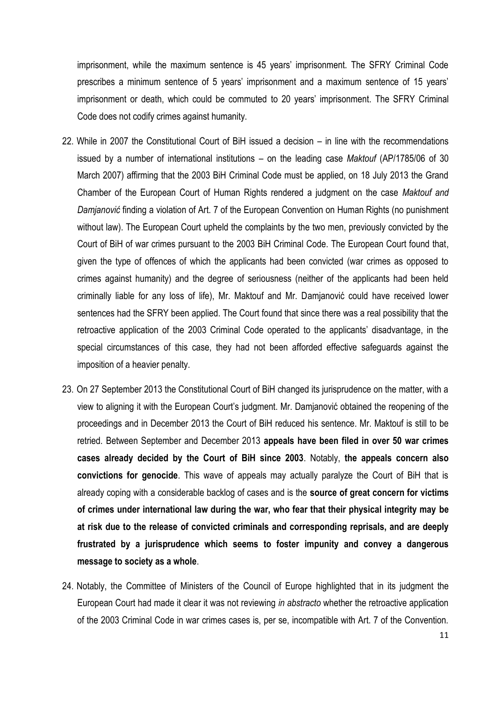imprisonment, while the maximum sentence is 45 years' imprisonment. The SFRY Criminal Code prescribes a minimum sentence of 5 years' imprisonment and a maximum sentence of 15 years' imprisonment or death, which could be commuted to 20 years' imprisonment. The SFRY Criminal Code does not codify crimes against humanity.

- 22. While in 2007 the Constitutional Court of BiH issued a decision in line with the recommendations issued by a number of international institutions – on the leading case *Maktouf* (AP/1785/06 of 30 March 2007) affirming that the 2003 BiH Criminal Code must be applied, on 18 July 2013 the Grand Chamber of the European Court of Human Rights rendered a judgment on the case *Maktouf and Damjanović* finding a violation of Art. 7 of the European Convention on Human Rights (no punishment without law). The European Court upheld the complaints by the two men, previously convicted by the Court of BiH of war crimes pursuant to the 2003 BiH Criminal Code. The European Court found that, given the type of offences of which the applicants had been convicted (war crimes as opposed to crimes against humanity) and the degree of seriousness (neither of the applicants had been held criminally liable for any loss of life), Mr. Maktouf and Mr. Damjanović could have received lower sentences had the SFRY been applied. The Court found that since there was a real possibility that the retroactive application of the 2003 Criminal Code operated to the applicants' disadvantage, in the special circumstances of this case, they had not been afforded effective safeguards against the imposition of a heavier penalty.
- 23. On 27 September 2013 the Constitutional Court of BiH changed its jurisprudence on the matter, with a view to aligning it with the European Court's judgment. Mr. Damjanović obtained the reopening of the proceedings and in December 2013 the Court of BiH reduced his sentence. Mr. Maktouf is still to be retried. Between September and December 2013 **appeals have been filed in over 50 war crimes cases already decided by the Court of BiH since 2003**. Notably, **the appeals concern also convictions for genocide**. This wave of appeals may actually paralyze the Court of BiH that is already coping with a considerable backlog of cases and is the **source of great concern for victims of crimes under international law during the war, who fear that their physical integrity may be at risk due to the release of convicted criminals and corresponding reprisals, and are deeply frustrated by a jurisprudence which seems to foster impunity and convey a dangerous message to society as a whole**.
- 24. Notably, the Committee of Ministers of the Council of Europe highlighted that in its judgment the European Court had made it clear it was not reviewing *in abstracto* whether the retroactive application of the 2003 Criminal Code in war crimes cases is, per se, incompatible with Art. 7 of the Convention.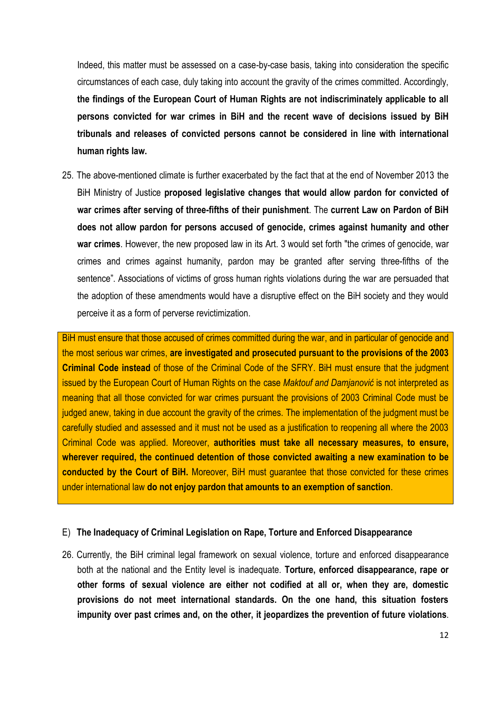Indeed, this matter must be assessed on a case-by-case basis, taking into consideration the specific circumstances of each case, duly taking into account the gravity of the crimes committed. Accordingly, **the findings of the European Court of Human Rights are not indiscriminately applicable to all persons convicted for war crimes in BiH and the recent wave of decisions issued by BiH tribunals and releases of convicted persons cannot be considered in line with international human rights law.**

25. The above-mentioned climate is further exacerbated by the fact that at the end of November 2013 the BiH Ministry of Justice **proposed legislative changes that would allow pardon for convicted of war crimes after serving of three-fifths of their punishment**. The **current Law on Pardon of BiH does not allow pardon for persons accused of genocide, crimes against humanity and other war crimes**. However, the new proposed law in its Art. 3 would set forth "the crimes of genocide, war crimes and crimes against humanity, pardon may be granted after serving three-fifths of the sentence". Associations of victims of gross human rights violations during the war are persuaded that the adoption of these amendments would have a disruptive effect on the BiH society and they would perceive it as a form of perverse revictimization.

BiH must ensure that those accused of crimes committed during the war, and in particular of genocide and the most serious war crimes, **are investigated and prosecuted pursuant to the provisions of the 2003 Criminal Code instead** of those of the Criminal Code of the SFRY. BiH must ensure that the judgment issued by the European Court of Human Rights on the case *Maktouf and Damjanović* is not interpreted as meaning that all those convicted for war crimes pursuant the provisions of 2003 Criminal Code must be judged anew, taking in due account the gravity of the crimes. The implementation of the judgment must be carefully studied and assessed and it must not be used as a justification to reopening all where the 2003 Criminal Code was applied. Moreover, **authorities must take all necessary measures, to ensure, wherever required, the continued detention of those convicted awaiting a new examination to be conducted by the Court of BiH.** Moreover, BiH must guarantee that those convicted for these crimes under international law **do not enjoy pardon that amounts to an exemption of sanction**.

#### E) **The Inadequacy of Criminal Legislation on Rape, Torture and Enforced Disappearance**

26. Currently, the BiH criminal legal framework on sexual violence, torture and enforced disappearance both at the national and the Entity level is inadequate. **Torture, enforced disappearance, rape or other forms of sexual violence are either not codified at all or, when they are, domestic provisions do not meet international standards. On the one hand, this situation fosters impunity over past crimes and, on the other, it jeopardizes the prevention of future violations**.